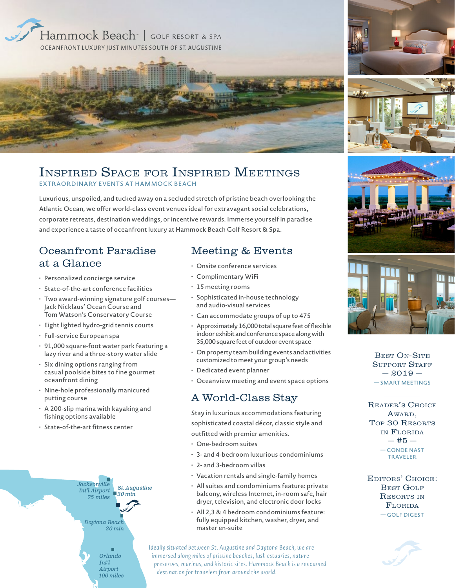

### Inspired Space for Inspired Meetings EXTRAORDINARY EVENTS AT HAMMOCK BEACH

Luxurious, unspoiled, and tucked away on a secluded stretch of pristine beach overlooking the Atlantic Ocean, we offer world-class event venues ideal for extravagant social celebrations, corporate retreats, destination weddings, or incentive rewards. Immerse yourself in paradise and experience a taste of oceanfront luxury at Hammock Beach Golf Resort & Spa.

## Oceanfront Paradise at a Glance

- Personalized concierge service
- State-of-the-art conference facilities
- Two award-winning signature golf courses— Jack Nicklaus' Ocean Course and Tom Watson's Conservatory Course
- Eight lighted hydro-grid tennis courts
- Full-service European spa
- 91,000 square-foot water park featuring a lazy river and a three-story water slide
- Six dining options ranging from casual poolside bites to fine gourmet oceanfront dining
- Nine-hole professionally manicured putting course
- A 200-slip marina with kayaking and fishing options available
- State-of-the-art fitness center



#### Meeting & Events

- Onsite conference services
- Complimentary WiFi
- 15 meeting rooms
- Sophisticated in-house technology and audio-visual services
- Can accommodate groups of up to 475
- Approximately 16,000 total square feet of flexible indoor exhibit and conference space along with 35,000 square feet of outdoor event space
- On property team building events and activities customized to meet your group's needs
- Dedicated event planner
- Oceanview meeting and event space options

## A World-Class Stay

Stay in luxurious accommodations featuring sophisticated coastal décor, classic style and outfitted with premier amenities.

- One-bedroom suites
- 3- and 4-bedroom luxurious condominiums
- 2- and 3-bedroom villas
- Vacation rentals and single-family homes
- All suites and condominiums feature: private balcony, wireless Internet, in-room safe, hair dryer, television, and electronic door locks
- All 2,3 & 4 bedroom condominiums feature: fully equipped kitchen, washer, dryer, and master en-suite

Ideally situated between St. Augustine and Daytona Beach, we are immersed along miles of pristine beaches, lush estuaries, nature preserves, marinas, and historic sites. Hammock Beach is a renowned destination for travelers from around the world.





BEST ON-SITE SUPPORT STAFF  $-2019-$ — SMART MEETINGS

Reader's Choice AWARD. Top 30 Resorts in Florida  $-$  #5  $-$ — CONDE NAST TRAVELER

Editors' Choice: BEST GOLF RESORTS IN Florida — GOLF DIGEST